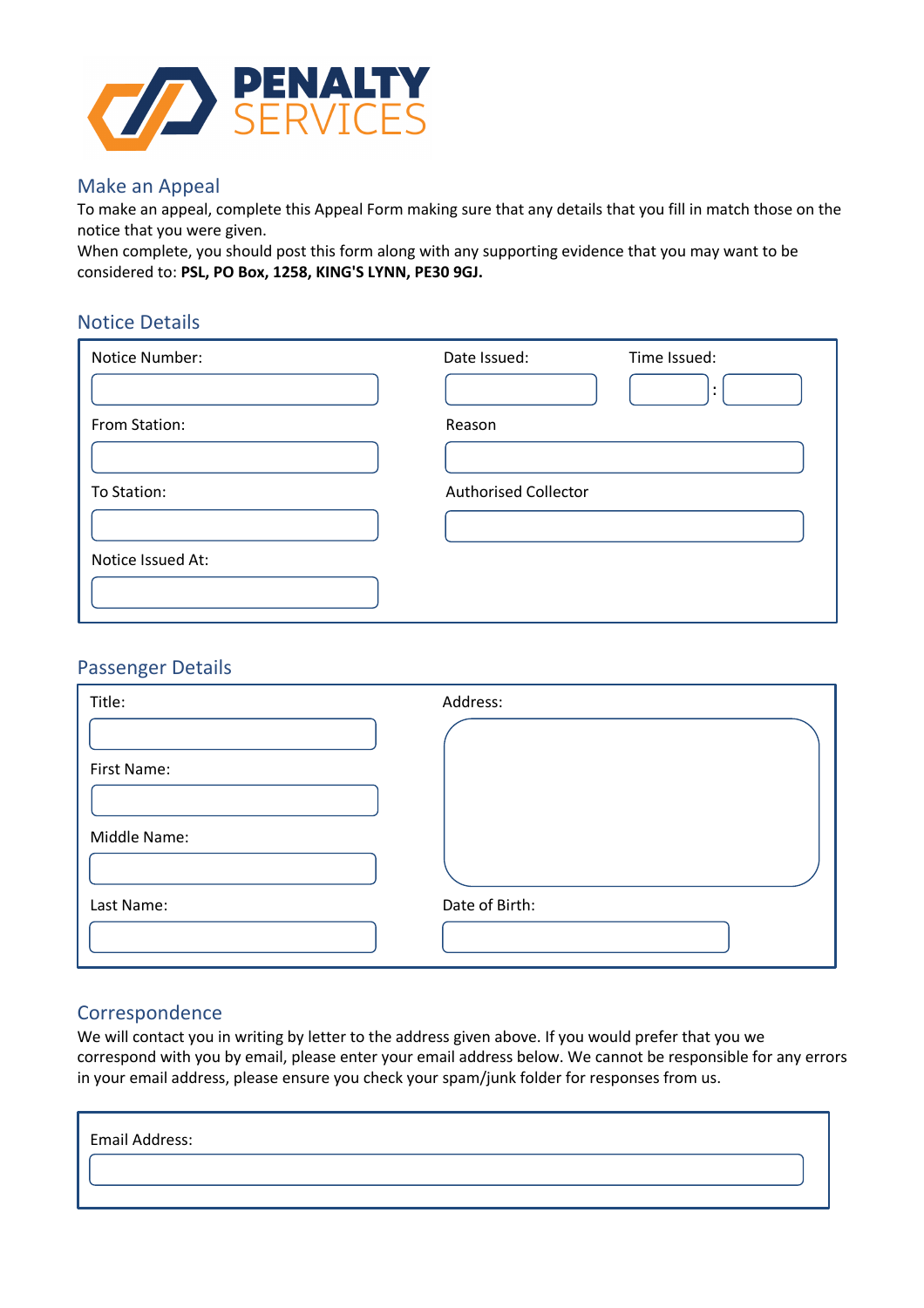

### Make an Appeal

To make an appeal, complete this Appeal Form making sure that any details that you fill in match those on the notice that you were given.

When complete, you should post this form along with any supporting evidence that you may want to be considered to: **PSL, PO Box, 1258, KING'S LYNN, PE30 9GJ.**

## Notice Details

| Notice Number:    | Date Issued:<br>Time Issued: | $\cdot$<br>$\blacksquare$ |
|-------------------|------------------------------|---------------------------|
| From Station:     | Reason                       |                           |
| To Station:       | <b>Authorised Collector</b>  |                           |
| Notice Issued At: |                              |                           |

### Passenger Details

| Title:       | Address:       |
|--------------|----------------|
|              |                |
| First Name:  |                |
|              |                |
| Middle Name: |                |
|              |                |
| Last Name:   | Date of Birth: |
|              |                |

### Correspondence

We will contact you in writing by letter to the address given above. If you would prefer that you we correspond with you by email, please enter your email address below. We cannot be responsible for any errors in your email address, please ensure you check your spam/junk folder for responses from us.

| Email Address: |  |
|----------------|--|
|                |  |
|                |  |